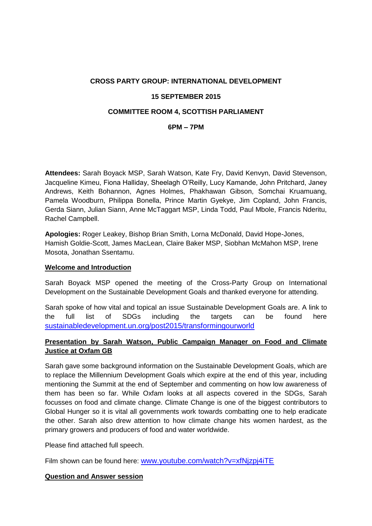# **CROSS PARTY GROUP: INTERNATIONAL DEVELOPMENT 15 SEPTEMBER 2015 COMMITTEE ROOM 4, SCOTTISH PARLIAMENT**

#### **6PM – 7PM**

**Attendees:** Sarah Boyack MSP, Sarah Watson, Kate Fry, David Kenvyn, David Stevenson, Jacqueline Kimeu, Fiona Halliday, Sheelagh O'Reilly, Lucy Kamande, John Pritchard, Janey Andrews, Keith Bohannon, Agnes Holmes, Phakhawan Gibson, Somchai Kruamuang, Pamela Woodburn, Philippa Bonella, Prince Martin Gyekye, Jim Copland, John Francis, Gerda Siann, Julian Siann, Anne McTaggart MSP, Linda Todd, Paul Mbole, Francis Nderitu, Rachel Campbell.

**Apologies:** Roger Leakey, Bishop Brian Smith, Lorna McDonald, David Hope-Jones, Hamish Goldie-Scott, James MacLean, Claire Baker MSP, Siobhan McMahon MSP, Irene Mosota, Jonathan Ssentamu.

#### **Welcome and Introduction**

Sarah Boyack MSP opened the meeting of the Cross-Party Group on International Development on the Sustainable Development Goals and thanked everyone for attending.

Sarah spoke of how vital and topical an issue Sustainable Development Goals are. A link to the full list of SDGs including the targets can be found here [sustainabledevelopment.un.org/post2015/transformingourworld](https://sustainabledevelopment.un.org/post2015/transformingourworld)

## **Presentation by Sarah Watson, Public Campaign Manager on Food and Climate Justice at Oxfam GB**

Sarah gave some background information on the Sustainable Development Goals, which are to replace the Millennium Development Goals which expire at the end of this year, including mentioning the Summit at the end of September and commenting on how low awareness of them has been so far. While Oxfam looks at all aspects covered in the SDGs, Sarah focusses on food and climate change. Climate Change is one of the biggest contributors to Global Hunger so it is vital all governments work towards combatting one to help eradicate the other. Sarah also drew attention to how climate change hits women hardest, as the primary growers and producers of food and water worldwide.

Please find attached full speech.

Film shown can be found here: [www.youtube.com/watch?v=xfNjzpj4iTE](http://www.youtube.com/watch?v=xfNjzpj4iTE)

#### **Question and Answer session**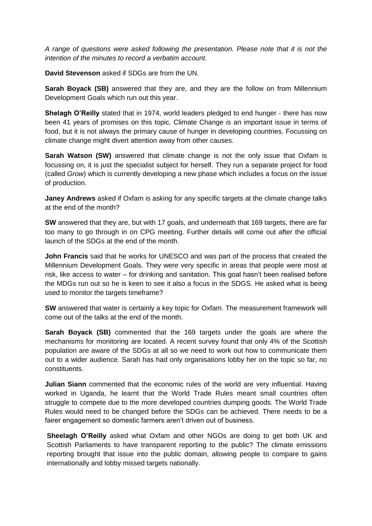*A range of questions were asked following the presentation. Please note that it is not the intention of the minutes to record a verbatim account.*

**David Stevenson** asked if SDGs are from the UN.

**Sarah Boyack (SB)** answered that they are, and they are the follow on from Millennium Development Goals which run out this year.

**Shelagh O'Reilly** stated that in 1974, world leaders pledged to end hunger - there has now been 41 years of promises on this topic. Climate Change *is* an important issue in terms of food, but it is not always the primary cause of hunger in developing countries. Focussing on climate change might divert attention away from other causes.

**Sarah Watson (SW)** answered that climate change is not the only issue that Oxfam is focussing on, it is just the specialist subject for herself. They run a separate project for food (called *Grow*) which is currently developing a new phase which includes a focus on the issue of production.

**Janey Andrews** asked if Oxfam is asking for any specific targets at the climate change talks at the end of the month?

**SW** answered that they are, but with 17 goals, and underneath that 169 targets, there are far too many to go through in on CPG meeting. Further details will come out after the official launch of the SDGs at the end of the month.

**John Francis** said that he works for UNESCO and was part of the process that created the Millennium Development Goals. They were very specific in areas that people were most at risk, like access to water – for drinking and sanitation. This goal hasn't been realised before the MDGs run out so he is keen to see it also a focus in the SDGS. He asked what is being used to monitor the targets timeframe?

**SW** answered that water is certainly a key topic for Oxfam. The measurement framework will come out of the talks at the end of the month.

**Sarah Boyack (SB)** commented that the 169 targets under the goals are where the mechanisms for monitoring are located. A recent survey found that only 4% of the Scottish population are aware of the SDGs at all so we need to work out how to communicate them out to a wider audience. Sarah has had only organisations lobby her on the topic so far, no constituents.

**Julian Siann** commented that the economic rules of the world are very influential. Having worked in Uganda, he learnt that the World Trade Rules meant small countries often struggle to compete due to the more developed countries dumping goods. The World Trade Rules would need to be changed before the SDGs can be achieved. There needs to be a fairer engagement so domestic farmers aren't driven out of business.

**Sheelagh O'Reilly** asked what Oxfam and other NGOs are doing to get both UK and Scottish Parliaments to have transparent reporting to the public? The climate emissions reporting brought that issue into the public domain, allowing people to compare to gains internationally and lobby missed targets nationally.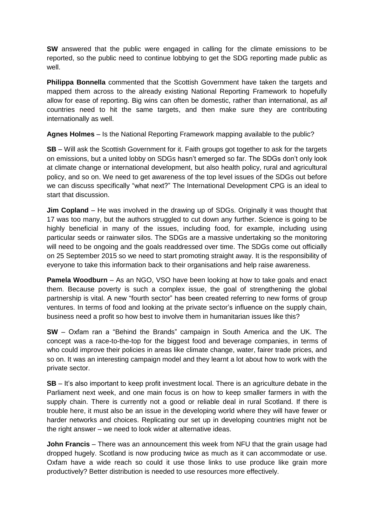**SW** answered that the public were engaged in calling for the climate emissions to be reported, so the public need to continue lobbying to get the SDG reporting made public as well.

**Philippa Bonnella** commented that the Scottish Government have taken the targets and mapped them across to the already existing National Reporting Framework to hopefully allow for ease of reporting. Big wins can often be domestic, rather than international, as *all* countries need to hit the same targets, and then make sure they are contributing internationally as well.

**Agnes Holmes** – Is the National Reporting Framework mapping available to the public?

**SB** – Will ask the Scottish Government for it. Faith groups got together to ask for the targets on emissions, but a united lobby on SDGs hasn't emerged so far. The SDGs don't only look at climate change or international development, but also health policy, rural and agricultural policy, and so on. We need to get awareness of the top level issues of the SDGs out before we can discuss specifically "what next?" The International Development CPG is an ideal to start that discussion.

**Jim Copland** – He was involved in the drawing up of SDGs. Originally it was thought that 17 was too many, but the authors struggled to cut down any further. Science is going to be highly beneficial in many of the issues, including food, for example, including using particular seeds or rainwater silos. The SDGs are a massive undertaking so the monitoring will need to be ongoing and the goals readdressed over time. The SDGs come out officially on 25 September 2015 so we need to start promoting straight away. It is the responsibility of everyone to take this information back to their organisations and help raise awareness.

**Pamela Woodburn** – As an NGO, VSO have been looking at how to take goals and enact them. Because poverty is such a complex issue, the goal of strengthening the global partnership is vital. A new "fourth sector" has been created referring to new forms of group ventures. In terms of food and looking at the private sector's influence on the supply chain, business need a profit so how best to involve them in humanitarian issues like this?

**SW** – Oxfam ran a "Behind the Brands" campaign in South America and the UK. The concept was a race-to-the-top for the biggest food and beverage companies, in terms of who could improve their policies in areas like climate change, water, fairer trade prices, and so on. It was an interesting campaign model and they learnt a lot about how to work with the private sector.

**SB** – It's also important to keep profit investment local. There is an agriculture debate in the Parliament next week, and one main focus is on how to keep smaller farmers in with the supply chain. There is currently not a good or reliable deal in rural Scotland. If there is trouble here, it must also be an issue in the developing world where they will have fewer or harder networks and choices. Replicating our set up in developing countries might not be the right answer – we need to look wider at alternative ideas.

**John Francis** – There was an announcement this week from NFU that the grain usage had dropped hugely. Scotland is now producing twice as much as it can accommodate or use. Oxfam have a wide reach so could it use those links to use produce like grain more productively? Better distribution is needed to use resources more effectively.